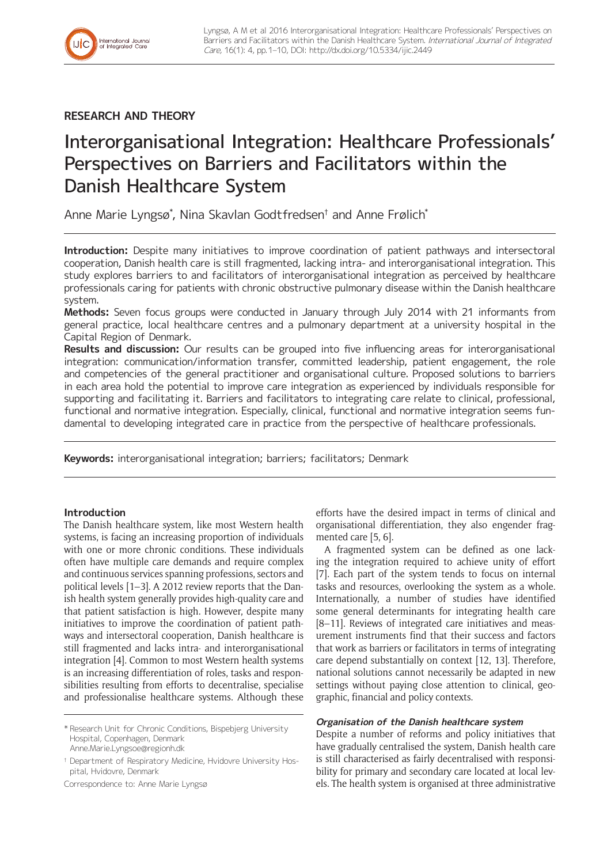

## **RESEARCH AND THEORY**

# Interorganisational Integration: Healthcare Professionals' Perspectives on Barriers and Facilitators within the Danish Healthcare System

Anne Marie Lyngsø\* , Nina Skavlan Godtfredsen† and Anne Frølich\*

**Introduction:** Despite many initiatives to improve coordination of patient pathways and intersectoral cooperation, Danish health care is still fragmented, lacking intra- and interorganisational integration. This study explores barriers to and facilitators of interorganisational integration as perceived by healthcare professionals caring for patients with chronic obstructive pulmonary disease within the Danish healthcare system.

**Methods:** Seven focus groups were conducted in January through July 2014 with 21 informants from general practice, local healthcare centres and a pulmonary department at a university hospital in the Capital Region of Denmark.

**Results and discussion:** Our results can be grouped into five influencing areas for interorganisational integration: communication/information transfer, committed leadership, patient engagement, the role and competencies of the general practitioner and organisational culture. Proposed solutions to barriers in each area hold the potential to improve care integration as experienced by individuals responsible for supporting and facilitating it. Barriers and facilitators to integrating care relate to clinical, professional, functional and normative integration. Especially, clinical, functional and normative integration seems fundamental to developing integrated care in practice from the perspective of healthcare professionals.

**Keywords:** interorganisational integration; barriers; facilitators; Denmark

## **Introduction**

The Danish healthcare system, like most Western health systems, is facing an increasing proportion of individuals with one or more chronic conditions. These individuals often have multiple care demands and require complex and continuous services spanning professions, sectors and political levels [1–3]. A 2012 review reports that the Danish health system generally provides high-quality care and that patient satisfaction is high. However, despite many initiatives to improve the coordination of patient pathways and intersectoral cooperation, Danish healthcare is still fragmented and lacks intra- and interorganisational integration [4]. Common to most Western health systems is an increasing differentiation of roles, tasks and responsibilities resulting from efforts to decentralise, specialise and professionalise healthcare systems. Although these

\* Research Unit for Chronic Conditions, Bispebjerg University Hospital, Copenhagen, Denmark [Anne.Marie.Lyngsoe@regionh.dk](mailto:Anne.Marie.Lyngsoe@regionh.dk)

† Department of Respiratory Medicine, Hvidovre University Hospital, Hvidovre, Denmark

Correspondence to: Anne Marie Lyngsø

efforts have the desired impact in terms of clinical and organisational differentiation, they also engender fragmented care [5, 6].

A fragmented system can be defined as one lacking the integration required to achieve unity of effort [7]. Each part of the system tends to focus on internal tasks and resources, overlooking the system as a whole. Internationally, a number of studies have identified some general determinants for integrating health care [8–11]. Reviews of integrated care initiatives and measurement instruments find that their success and factors that work as barriers or facilitators in terms of integrating care depend substantially on context [12, 13]. Therefore, national solutions cannot necessarily be adapted in new settings without paying close attention to clinical, geographic, financial and policy contexts.

## **Organisation of the Danish healthcare system**

Despite a number of reforms and policy initiatives that have gradually centralised the system, Danish health care is still characterised as fairly decentralised with responsibility for primary and secondary care located at local levels. The health system is organised at three administrative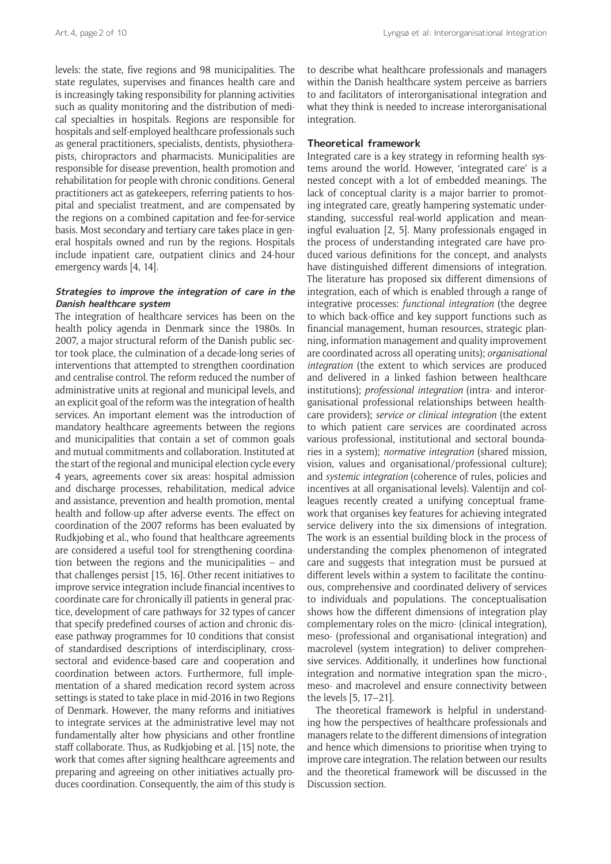levels: the state, five regions and 98 municipalities. The state regulates, supervises and finances health care and is increasingly taking responsibility for planning activities such as quality monitoring and the distribution of medical specialties in hospitals. Regions are responsible for hospitals and self-employed healthcare professionals such as general practitioners, specialists, dentists, physiotherapists, chiropractors and pharmacists. Municipalities are responsible for disease prevention, health promotion and rehabilitation for people with chronic conditions. General practitioners act as gatekeepers, referring patients to hospital and specialist treatment, and are compensated by the regions on a combined capitation and fee-for-service basis. Most secondary and tertiary care takes place in general hospitals owned and run by the regions. Hospitals include inpatient care, outpatient clinics and 24-hour emergency wards [4, 14].

## **Strategies to improve the integration of care in the Danish healthcare system**

The integration of healthcare services has been on the health policy agenda in Denmark since the 1980s. In 2007, a major structural reform of the Danish public sector took place, the culmination of a decade-long series of interventions that attempted to strengthen coordination and centralise control. The reform reduced the number of administrative units at regional and municipal levels, and an explicit goal of the reform was the integration of health services. An important element was the introduction of mandatory healthcare agreements between the regions and municipalities that contain a set of common goals and mutual commitments and collaboration. Instituted at the start of the regional and municipal election cycle every 4 years, agreements cover six areas: hospital admission and discharge processes, rehabilitation, medical advice and assistance, prevention and health promotion, mental health and follow-up after adverse events. The effect on coordination of the 2007 reforms has been evaluated by Rudkjøbing et al., who found that healthcare agreements are considered a useful tool for strengthening coordination between the regions and the municipalities – and that challenges persist [15, 16]. Other recent initiatives to improve service integration include financial incentives to coordinate care for chronically ill patients in general practice, development of care pathways for 32 types of cancer that specify predefined courses of action and chronic disease pathway programmes for 10 conditions that consist of standardised descriptions of interdisciplinary, crosssectoral and evidence-based care and cooperation and coordination between actors. Furthermore, full implementation of a shared medication record system across settings is stated to take place in mid-2016 in two Regions of Denmark. However, the many reforms and initiatives to integrate services at the administrative level may not fundamentally alter how physicians and other frontline staff collaborate. Thus, as Rudkjøbing et al. [15] note, the work that comes after signing healthcare agreements and preparing and agreeing on other initiatives actually produces coordination. Consequently, the aim of this study is

to describe what healthcare professionals and managers within the Danish healthcare system perceive as barriers to and facilitators of interorganisational integration and what they think is needed to increase interorganisational integration.

#### **Theoretical framework**

Integrated care is a key strategy in reforming health systems around the world. However, 'integrated care' is a nested concept with a lot of embedded meanings. The lack of conceptual clarity is a major barrier to promoting integrated care, greatly hampering systematic understanding, successful real-world application and meaningful evaluation [2, 5]. Many professionals engaged in the process of understanding integrated care have produced various definitions for the concept, and analysts have distinguished different dimensions of integration. The literature has proposed six different dimensions of integration, each of which is enabled through a range of integrative processes: *functional integration* (the degree to which back-office and key support functions such as financial management, human resources, strategic planning, information management and quality improvement are coordinated across all operating units); *organisational integration* (the extent to which services are produced and delivered in a linked fashion between healthcare institutions); *professional integration* (intra- and interorganisational professional relationships between healthcare providers); *service or clinical integration* (the extent to which patient care services are coordinated across various professional, institutional and sectoral boundaries in a system); *normative integration* (shared mission, vision, values and organisational/professional culture); and *systemic integration* (coherence of rules, policies and incentives at all organisational levels). Valentijn and colleagues recently created a unifying conceptual framework that organises key features for achieving integrated service delivery into the six dimensions of integration. The work is an essential building block in the process of understanding the complex phenomenon of integrated care and suggests that integration must be pursued at different levels within a system to facilitate the continuous, comprehensive and coordinated delivery of services to individuals and populations. The conceptualisation shows how the different dimensions of integration play complementary roles on the micro- (clinical integration), meso- (professional and organisational integration) and macrolevel (system integration) to deliver comprehensive services. Additionally, it underlines how functional integration and normative integration span the micro-, meso- and macrolevel and ensure connectivity between the levels [5, 17–21].

The theoretical framework is helpful in understanding how the perspectives of healthcare professionals and managers relate to the different dimensions of integration and hence which dimensions to prioritise when trying to improve care integration. The relation between our results and the theoretical framework will be discussed in the Discussion section.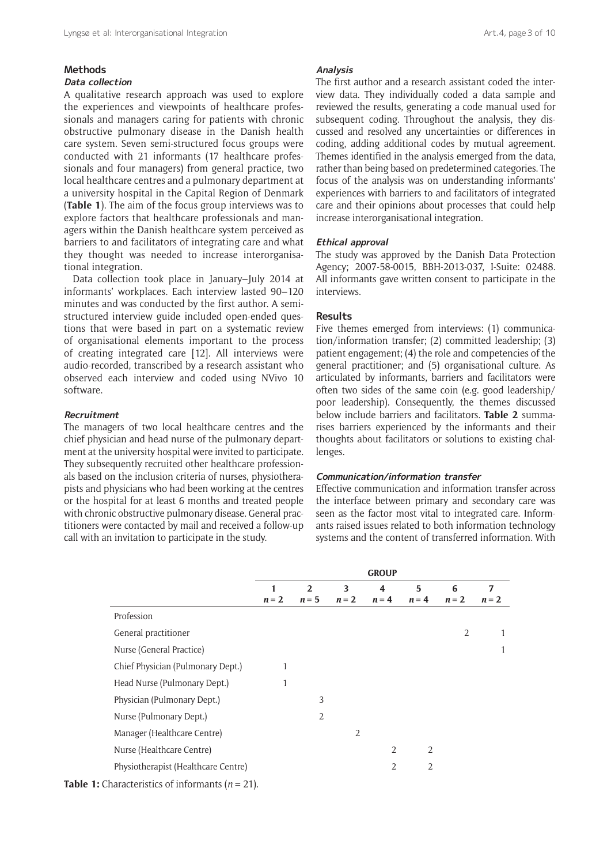#### **Methods**

## **Data collection**

A qualitative research approach was used to explore the experiences and viewpoints of healthcare professionals and managers caring for patients with chronic obstructive pulmonary disease in the Danish health care system. Seven semi-structured focus groups were conducted with 21 informants (17 healthcare professionals and four managers) from general practice, two local healthcare centres and a pulmonary department at a university hospital in the Capital Region of Denmark (**Table 1**). The aim of the focus group interviews was to explore factors that healthcare professionals and managers within the Danish healthcare system perceived as barriers to and facilitators of integrating care and what they thought was needed to increase interorganisational integration.

Data collection took place in January–July 2014 at informants' workplaces. Each interview lasted 90–120 minutes and was conducted by the first author. A semistructured interview guide included open-ended questions that were based in part on a systematic review of organisational elements important to the process of creating integrated care [12]. All interviews were audio-recorded, transcribed by a research assistant who observed each interview and coded using NVivo 10 software.

#### **Recruitment**

The managers of two local healthcare centres and the chief physician and head nurse of the pulmonary department at the university hospital were invited to participate. They subsequently recruited other healthcare professionals based on the inclusion criteria of nurses, physiotherapists and physicians who had been working at the centres or the hospital for at least 6 months and treated people with chronic obstructive pulmonary disease. General practitioners were contacted by mail and received a follow-up call with an invitation to participate in the study.

#### **Analysis**

The first author and a research assistant coded the interview data. They individually coded a data sample and reviewed the results, generating a code manual used for subsequent coding. Throughout the analysis, they discussed and resolved any uncertainties or differences in coding, adding additional codes by mutual agreement. Themes identified in the analysis emerged from the data, rather than being based on predetermined categories. The focus of the analysis was on understanding informants' experiences with barriers to and facilitators of integrated care and their opinions about processes that could help increase interorganisational integration.

#### **Ethical approval**

The study was approved by the Danish Data Protection Agency; 2007-58-0015, BBH-2013-037, I-Suite: 02488. All informants gave written consent to participate in the interviews.

#### **Results**

Five themes emerged from interviews: (1) communication/information transfer; (2) committed leadership; (3) patient engagement; (4) the role and competencies of the general practitioner; and (5) organisational culture. As articulated by informants, barriers and facilitators were often two sides of the same coin (e.g. good leadership/ poor leadership). Consequently, the themes discussed below include barriers and facilitators. **Table 2** summarises barriers experienced by the informants and their thoughts about facilitators or solutions to existing challenges.

## **Communication/information transfer**

Effective communication and information transfer across the interface between primary and secondary care was seen as the factor most vital to integrated care. Informants raised issues related to both information technology systems and the content of transferred information. With

|                                                                             | <b>GROUP</b> |                |                |                |                |                |         |
|-----------------------------------------------------------------------------|--------------|----------------|----------------|----------------|----------------|----------------|---------|
|                                                                             | 1            | $\overline{2}$ | 3              | 4              | 5              | 6              | 7       |
|                                                                             | $n=2$        | $n = 5$        | $n=2$          | $n = 4$        | $n = 4$        | $n=2$          | $n = 2$ |
| Profession                                                                  |              |                |                |                |                |                |         |
| General practitioner                                                        |              |                |                |                |                | $\overline{2}$ | 1       |
| Nurse (General Practice)                                                    |              |                |                |                |                |                | 1       |
| Chief Physician (Pulmonary Dept.)                                           |              |                |                |                |                |                |         |
| Head Nurse (Pulmonary Dept.)                                                |              |                |                |                |                |                |         |
| Physician (Pulmonary Dept.)                                                 |              | 3              |                |                |                |                |         |
| Nurse (Pulmonary Dept.)                                                     |              | 2              |                |                |                |                |         |
| Manager (Healthcare Centre)                                                 |              |                | $\overline{2}$ |                |                |                |         |
| Nurse (Healthcare Centre)                                                   |              |                |                | $\overline{2}$ | $\overline{2}$ |                |         |
| Physiotherapist (Healthcare Centre)                                         |              |                |                | 2              | $\overline{2}$ |                |         |
| $1 \t\t \ldots \t\t \ldots \t\t \ldots \t\t \ldots \t\t \ldots \t\t \ldots$ |              |                |                |                |                |                |         |

**Table 1:** Characteristics of informants (*n* = 21).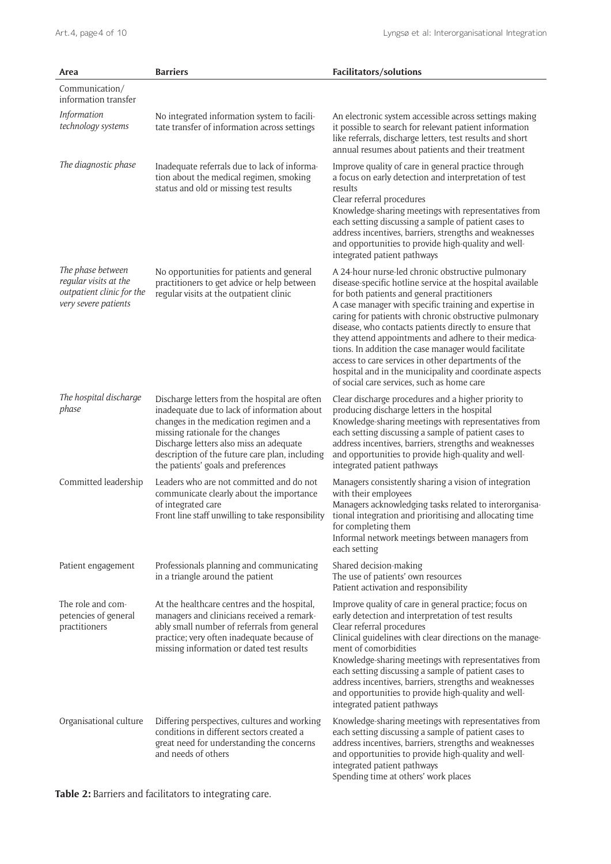| Area                                                                                            | <b>Barriers</b>                                                                                                                                                                                                                                                                                                  | Facilitators/solutions                                                                                                                                                                                                                                                                                                                                                                                                                                                                                                                                                                                                       |  |  |
|-------------------------------------------------------------------------------------------------|------------------------------------------------------------------------------------------------------------------------------------------------------------------------------------------------------------------------------------------------------------------------------------------------------------------|------------------------------------------------------------------------------------------------------------------------------------------------------------------------------------------------------------------------------------------------------------------------------------------------------------------------------------------------------------------------------------------------------------------------------------------------------------------------------------------------------------------------------------------------------------------------------------------------------------------------------|--|--|
| Communication/<br>information transfer                                                          |                                                                                                                                                                                                                                                                                                                  |                                                                                                                                                                                                                                                                                                                                                                                                                                                                                                                                                                                                                              |  |  |
| Information<br>technology systems                                                               | No integrated information system to facili-<br>tate transfer of information across settings                                                                                                                                                                                                                      | An electronic system accessible across settings making<br>it possible to search for relevant patient information<br>like referrals, discharge letters, test results and short<br>annual resumes about patients and their treatment                                                                                                                                                                                                                                                                                                                                                                                           |  |  |
| The diagnostic phase                                                                            | Inadequate referrals due to lack of informa-<br>tion about the medical regimen, smoking<br>status and old or missing test results                                                                                                                                                                                | Improve quality of care in general practice through<br>a focus on early detection and interpretation of test<br>results<br>Clear referral procedures<br>Knowledge-sharing meetings with representatives from<br>each setting discussing a sample of patient cases to<br>address incentives, barriers, strengths and weaknesses<br>and opportunities to provide high-quality and well-<br>integrated patient pathways                                                                                                                                                                                                         |  |  |
| The phase between<br>regular visits at the<br>outpatient clinic for the<br>very severe patients | No opportunities for patients and general<br>practitioners to get advice or help between<br>regular visits at the outpatient clinic                                                                                                                                                                              | A 24-hour nurse-led chronic obstructive pulmonary<br>disease-specific hotline service at the hospital available<br>for both patients and general practitioners<br>A case manager with specific training and expertise in<br>caring for patients with chronic obstructive pulmonary<br>disease, who contacts patients directly to ensure that<br>they attend appointments and adhere to their medica-<br>tions. In addition the case manager would facilitate<br>access to care services in other departments of the<br>hospital and in the municipality and coordinate aspects<br>of social care services, such as home care |  |  |
| The hospital discharge<br>phase                                                                 | Discharge letters from the hospital are often<br>inadequate due to lack of information about<br>changes in the medication regimen and a<br>missing rationale for the changes<br>Discharge letters also miss an adequate<br>description of the future care plan, including<br>the patients' goals and preferences | Clear discharge procedures and a higher priority to<br>producing discharge letters in the hospital<br>Knowledge-sharing meetings with representatives from<br>each setting discussing a sample of patient cases to<br>address incentives, barriers, strengths and weaknesses<br>and opportunities to provide high-quality and well-<br>integrated patient pathways                                                                                                                                                                                                                                                           |  |  |
| Committed leadership                                                                            | Leaders who are not committed and do not<br>communicate clearly about the importance<br>of integrated care<br>Front line staff unwilling to take responsibility                                                                                                                                                  | Managers consistently sharing a vision of integration<br>with their employees<br>Managers acknowledging tasks related to interorganisa-<br>tional integration and prioritising and allocating time<br>for completing them<br>Informal network meetings between managers from<br>each setting                                                                                                                                                                                                                                                                                                                                 |  |  |
| Patient engagement                                                                              | Professionals planning and communicating<br>in a triangle around the patient                                                                                                                                                                                                                                     | Shared decision-making<br>The use of patients' own resources<br>Patient activation and responsibility                                                                                                                                                                                                                                                                                                                                                                                                                                                                                                                        |  |  |
| The role and com-<br>petencies of general<br>practitioners                                      | At the healthcare centres and the hospital,<br>managers and clinicians received a remark-<br>ably small number of referrals from general<br>practice; very often inadequate because of<br>missing information or dated test results                                                                              | Improve quality of care in general practice; focus on<br>early detection and interpretation of test results<br>Clear referral procedures<br>Clinical guidelines with clear directions on the manage-<br>ment of comorbidities<br>Knowledge-sharing meetings with representatives from<br>each setting discussing a sample of patient cases to<br>address incentives, barriers, strengths and weaknesses<br>and opportunities to provide high-quality and well-<br>integrated patient pathways                                                                                                                                |  |  |
| Organisational culture                                                                          | Differing perspectives, cultures and working<br>conditions in different sectors created a<br>great need for understanding the concerns<br>and needs of others                                                                                                                                                    | Knowledge-sharing meetings with representatives from<br>each setting discussing a sample of patient cases to<br>address incentives, barriers, strengths and weaknesses<br>and opportunities to provide high-quality and well-<br>integrated patient pathways<br>Spending time at others' work places                                                                                                                                                                                                                                                                                                                         |  |  |

**Table 2:** Barriers and facilitators to integrating care.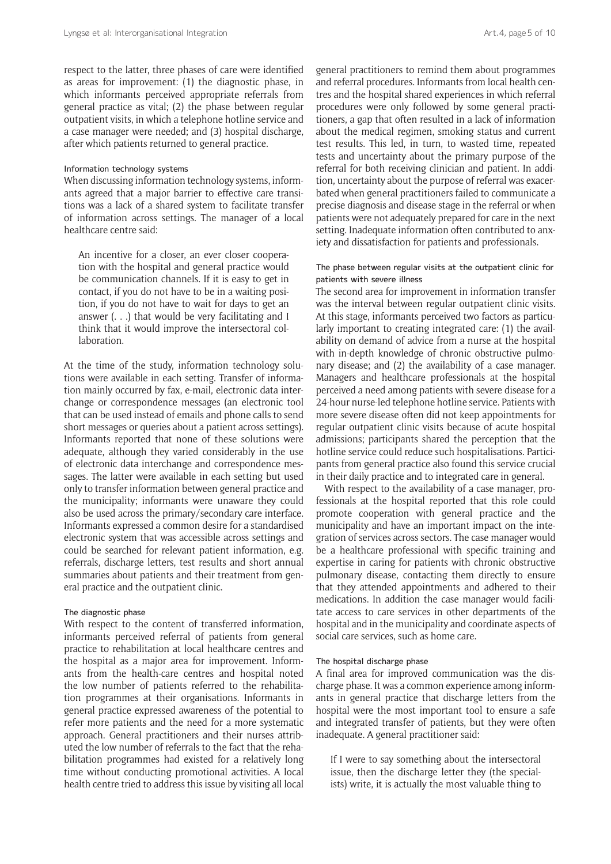respect to the latter, three phases of care were identified as areas for improvement: (1) the diagnostic phase, in which informants perceived appropriate referrals from general practice as vital; (2) the phase between regular outpatient visits, in which a telephone hotline service and a case manager were needed; and (3) hospital discharge, after which patients returned to general practice.

#### Information technology systems

When discussing information technology systems, informants agreed that a major barrier to effective care transitions was a lack of a shared system to facilitate transfer of information across settings. The manager of a local healthcare centre said:

An incentive for a closer, an ever closer cooperation with the hospital and general practice would be communication channels. If it is easy to get in contact, if you do not have to be in a waiting position, if you do not have to wait for days to get an answer  $( \ldots )$  that would be very facilitating and I think that it would improve the intersectoral collaboration.

At the time of the study, information technology solutions were available in each setting. Transfer of information mainly occurred by fax, e-mail, electronic data interchange or correspondence messages (an electronic tool that can be used instead of emails and phone calls to send short messages or queries about a patient across settings). Informants reported that none of these solutions were adequate, although they varied considerably in the use of electronic data interchange and correspondence messages. The latter were available in each setting but used only to transfer information between general practice and the municipality; informants were unaware they could also be used across the primary/secondary care interface. Informants expressed a common desire for a standardised electronic system that was accessible across settings and could be searched for relevant patient information, e.g. referrals, discharge letters, test results and short annual summaries about patients and their treatment from general practice and the outpatient clinic.

#### The diagnostic phase

With respect to the content of transferred information, informants perceived referral of patients from general practice to rehabilitation at local healthcare centres and the hospital as a major area for improvement. Informants from the health-care centres and hospital noted the low number of patients referred to the rehabilitation programmes at their organisations. Informants in general practice expressed awareness of the potential to refer more patients and the need for a more systematic approach. General practitioners and their nurses attributed the low number of referrals to the fact that the rehabilitation programmes had existed for a relatively long time without conducting promotional activities. A local health centre tried to address this issue by visiting all local

general practitioners to remind them about programmes and referral procedures. Informants from local health centres and the hospital shared experiences in which referral procedures were only followed by some general practitioners, a gap that often resulted in a lack of information about the medical regimen, smoking status and current test results. This led, in turn, to wasted time, repeated tests and uncertainty about the primary purpose of the referral for both receiving clinician and patient. In addition, uncertainty about the purpose of referral was exacerbated when general practitioners failed to communicate a precise diagnosis and disease stage in the referral or when patients were not adequately prepared for care in the next setting. Inadequate information often contributed to anxiety and dissatisfaction for patients and professionals.

## The phase between regular visits at the outpatient clinic for patients with severe illness

The second area for improvement in information transfer was the interval between regular outpatient clinic visits. At this stage, informants perceived two factors as particularly important to creating integrated care: (1) the availability on demand of advice from a nurse at the hospital with in-depth knowledge of chronic obstructive pulmonary disease; and (2) the availability of a case manager. Managers and healthcare professionals at the hospital perceived a need among patients with severe disease for a 24-hour nurse-led telephone hotline service. Patients with more severe disease often did not keep appointments for regular outpatient clinic visits because of acute hospital admissions; participants shared the perception that the hotline service could reduce such hospitalisations. Participants from general practice also found this service crucial in their daily practice and to integrated care in general.

With respect to the availability of a case manager, professionals at the hospital reported that this role could promote cooperation with general practice and the municipality and have an important impact on the integration of services across sectors. The case manager would be a healthcare professional with specific training and expertise in caring for patients with chronic obstructive pulmonary disease, contacting them directly to ensure that they attended appointments and adhered to their medications. In addition the case manager would facilitate access to care services in other departments of the hospital and in the municipality and coordinate aspects of social care services, such as home care.

#### The hospital discharge phase

A final area for improved communication was the discharge phase. It was a common experience among informants in general practice that discharge letters from the hospital were the most important tool to ensure a safe and integrated transfer of patients, but they were often inadequate. A general practitioner said:

If I were to say something about the intersectoral issue, then the discharge letter they (the specialists) write, it is actually the most valuable thing to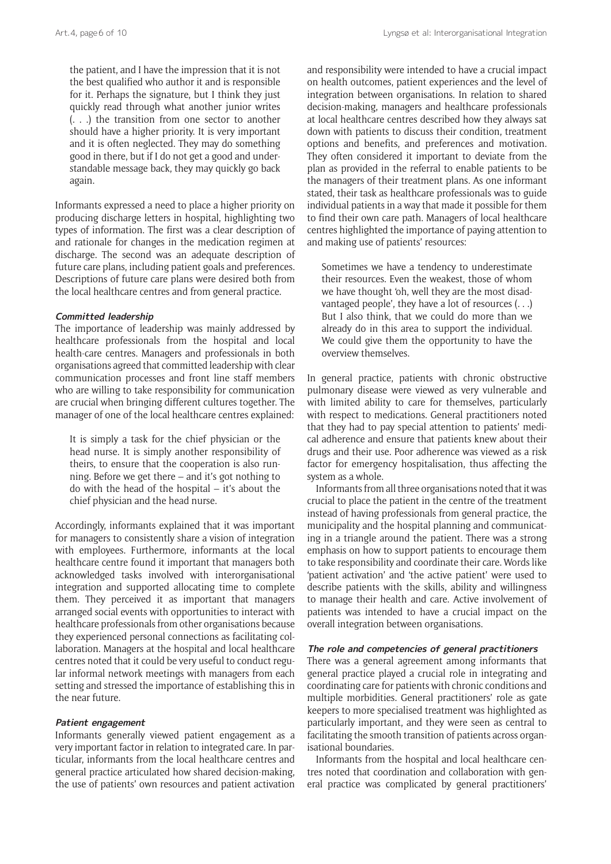the patient, and I have the impression that it is not the best qualified who author it and is responsible for it. Perhaps the signature, but I think they just quickly read through what another junior writes (. . .) the transition from one sector to another should have a higher priority. It is very important and it is often neglected. They may do something good in there, but if I do not get a good and understandable message back, they may quickly go back again.

Informants expressed a need to place a higher priority on producing discharge letters in hospital, highlighting two types of information. The first was a clear description of and rationale for changes in the medication regimen at discharge. The second was an adequate description of future care plans, including patient goals and preferences. Descriptions of future care plans were desired both from the local healthcare centres and from general practice.

#### **Committed leadership**

The importance of leadership was mainly addressed by healthcare professionals from the hospital and local health-care centres. Managers and professionals in both organisations agreed that committed leadership with clear communication processes and front line staff members who are willing to take responsibility for communication are crucial when bringing different cultures together. The manager of one of the local healthcare centres explained:

It is simply a task for the chief physician or the head nurse. It is simply another responsibility of theirs, to ensure that the cooperation is also running. Before we get there – and it's got nothing to do with the head of the hospital – it's about the chief physician and the head nurse.

Accordingly, informants explained that it was important for managers to consistently share a vision of integration with employees. Furthermore, informants at the local healthcare centre found it important that managers both acknowledged tasks involved with interorganisational integration and supported allocating time to complete them. They perceived it as important that managers arranged social events with opportunities to interact with healthcare professionals from other organisations because they experienced personal connections as facilitating collaboration. Managers at the hospital and local healthcare centres noted that it could be very useful to conduct regular informal network meetings with managers from each setting and stressed the importance of establishing this in the near future.

## **Patient engagement**

Informants generally viewed patient engagement as a very important factor in relation to integrated care. In particular, informants from the local healthcare centres and general practice articulated how shared decision-making, the use of patients' own resources and patient activation

and responsibility were intended to have a crucial impact on health outcomes, patient experiences and the level of integration between organisations. In relation to shared decision-making, managers and healthcare professionals at local healthcare centres described how they always sat down with patients to discuss their condition, treatment options and benefits, and preferences and motivation. They often considered it important to deviate from the plan as provided in the referral to enable patients to be the managers of their treatment plans. As one informant stated, their task as healthcare professionals was to guide individual patients in a way that made it possible for them to find their own care path. Managers of local healthcare centres highlighted the importance of paying attention to and making use of patients' resources:

Sometimes we have a tendency to underestimate their resources. Even the weakest, those of whom we have thought 'oh, well they are the most disadvantaged people', they have a lot of resources (. . .) But I also think, that we could do more than we already do in this area to support the individual. We could give them the opportunity to have the overview themselves.

In general practice, patients with chronic obstructive pulmonary disease were viewed as very vulnerable and with limited ability to care for themselves, particularly with respect to medications. General practitioners noted that they had to pay special attention to patients' medical adherence and ensure that patients knew about their drugs and their use. Poor adherence was viewed as a risk factor for emergency hospitalisation, thus affecting the system as a whole.

Informants from all three organisations noted that it was crucial to place the patient in the centre of the treatment instead of having professionals from general practice, the municipality and the hospital planning and communicating in a triangle around the patient. There was a strong emphasis on how to support patients to encourage them to take responsibility and coordinate their care. Words like 'patient activation' and 'the active patient' were used to describe patients with the skills, ability and willingness to manage their health and care. Active involvement of patients was intended to have a crucial impact on the overall integration between organisations.

## **The role and competencies of general practitioners**

There was a general agreement among informants that general practice played a crucial role in integrating and coordinating care for patients with chronic conditions and multiple morbidities. General practitioners' role as gate keepers to more specialised treatment was highlighted as particularly important, and they were seen as central to facilitating the smooth transition of patients across organisational boundaries.

Informants from the hospital and local healthcare centres noted that coordination and collaboration with general practice was complicated by general practitioners'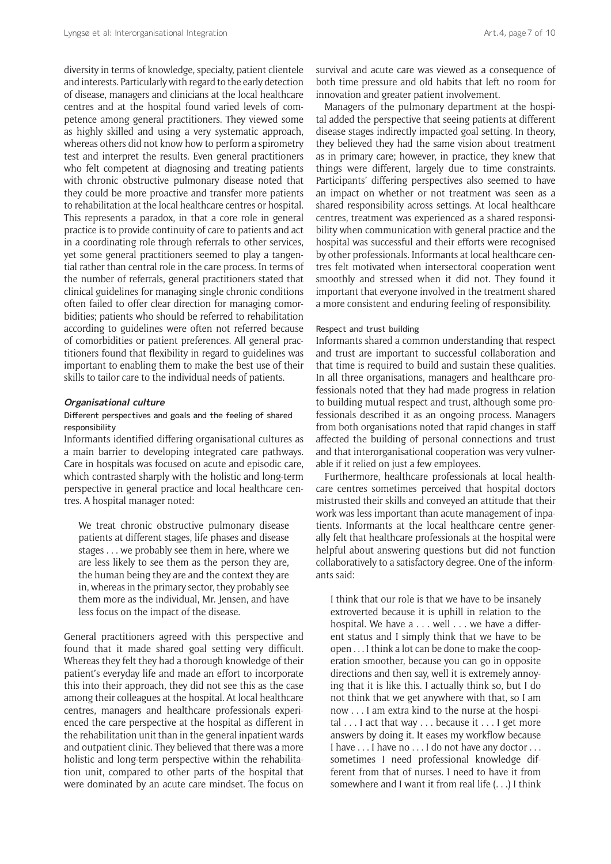diversity in terms of knowledge, specialty, patient clientele and interests. Particularly with regard to the early detection of disease, managers and clinicians at the local healthcare centres and at the hospital found varied levels of competence among general practitioners. They viewed some as highly skilled and using a very systematic approach, whereas others did not know how to perform a spirometry test and interpret the results. Even general practitioners who felt competent at diagnosing and treating patients with chronic obstructive pulmonary disease noted that they could be more proactive and transfer more patients to rehabilitation at the local healthcare centres or hospital. This represents a paradox, in that a core role in general practice is to provide continuity of care to patients and act in a coordinating role through referrals to other services, yet some general practitioners seemed to play a tangential rather than central role in the care process. In terms of the number of referrals, general practitioners stated that clinical guidelines for managing single chronic conditions often failed to offer clear direction for managing comorbidities; patients who should be referred to rehabilitation according to guidelines were often not referred because of comorbidities or patient preferences. All general practitioners found that flexibility in regard to guidelines was important to enabling them to make the best use of their skills to tailor care to the individual needs of patients.

#### **Organisational culture**

## Different perspectives and goals and the feeling of shared responsibility

Informants identified differing organisational cultures as a main barrier to developing integrated care pathways. Care in hospitals was focused on acute and episodic care, which contrasted sharply with the holistic and long-term perspective in general practice and local healthcare centres. A hospital manager noted:

We treat chronic obstructive pulmonary disease patients at different stages, life phases and disease stages . . . we probably see them in here, where we are less likely to see them as the person they are, the human being they are and the context they are in, whereas in the primary sector, they probably see them more as the individual, Mr. Jensen, and have less focus on the impact of the disease.

General practitioners agreed with this perspective and found that it made shared goal setting very difficult. Whereas they felt they had a thorough knowledge of their patient's everyday life and made an effort to incorporate this into their approach, they did not see this as the case among their colleagues at the hospital. At local healthcare centres, managers and healthcare professionals experienced the care perspective at the hospital as different in the rehabilitation unit than in the general inpatient wards and outpatient clinic. They believed that there was a more holistic and long-term perspective within the rehabilitation unit, compared to other parts of the hospital that were dominated by an acute care mindset. The focus on

survival and acute care was viewed as a consequence of both time pressure and old habits that left no room for innovation and greater patient involvement.

Managers of the pulmonary department at the hospital added the perspective that seeing patients at different disease stages indirectly impacted goal setting. In theory, they believed they had the same vision about treatment as in primary care; however, in practice, they knew that things were different, largely due to time constraints. Participants' differing perspectives also seemed to have an impact on whether or not treatment was seen as a shared responsibility across settings. At local healthcare centres, treatment was experienced as a shared responsibility when communication with general practice and the hospital was successful and their efforts were recognised by other professionals. Informants at local healthcare centres felt motivated when intersectoral cooperation went smoothly and stressed when it did not. They found it important that everyone involved in the treatment shared a more consistent and enduring feeling of responsibility.

#### Respect and trust building

Informants shared a common understanding that respect and trust are important to successful collaboration and that time is required to build and sustain these qualities. In all three organisations, managers and healthcare professionals noted that they had made progress in relation to building mutual respect and trust, although some professionals described it as an ongoing process. Managers from both organisations noted that rapid changes in staff affected the building of personal connections and trust and that interorganisational cooperation was very vulnerable if it relied on just a few employees.

Furthermore, healthcare professionals at local healthcare centres sometimes perceived that hospital doctors mistrusted their skills and conveyed an attitude that their work was less important than acute management of inpatients. Informants at the local healthcare centre generally felt that healthcare professionals at the hospital were helpful about answering questions but did not function collaboratively to a satisfactory degree. One of the informants said:

I think that our role is that we have to be insanely extroverted because it is uphill in relation to the hospital. We have a . . . well . . . we have a different status and I simply think that we have to be open . . . I think a lot can be done to make the cooperation smoother, because you can go in opposite directions and then say, well it is extremely annoying that it is like this. I actually think so, but I do not think that we get anywhere with that, so I am now . . . I am extra kind to the nurse at the hospital . . . I act that way . . . because it . . . I get more answers by doing it. It eases my workflow because I have . . . I have no . . . I do not have any doctor . . . sometimes I need professional knowledge different from that of nurses. I need to have it from somewhere and I want it from real life (. . .) I think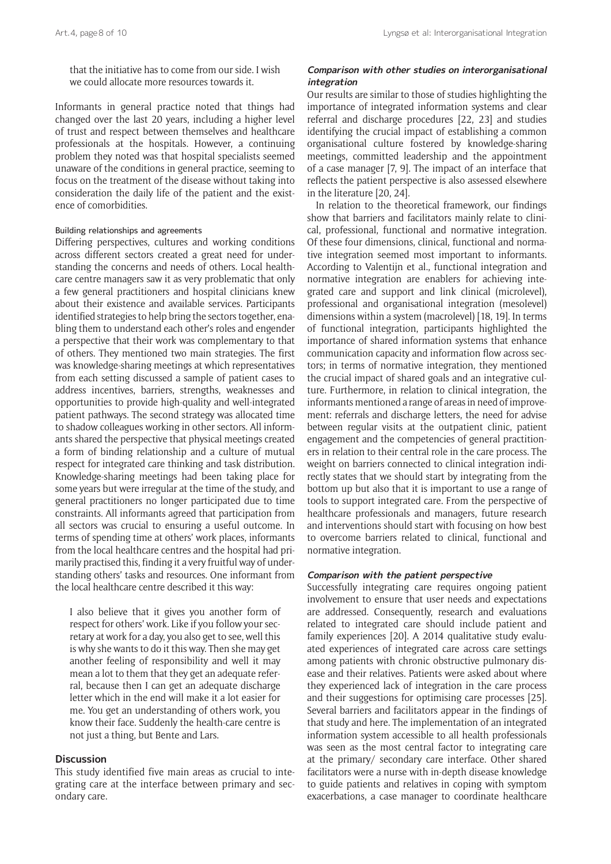that the initiative has to come from our side. I wish we could allocate more resources towards it.

Informants in general practice noted that things had changed over the last 20 years, including a higher level of trust and respect between themselves and healthcare professionals at the hospitals. However, a continuing problem they noted was that hospital specialists seemed unaware of the conditions in general practice, seeming to focus on the treatment of the disease without taking into consideration the daily life of the patient and the existence of comorbidities.

## Building relationships and agreements

Differing perspectives, cultures and working conditions across different sectors created a great need for understanding the concerns and needs of others. Local healthcare centre managers saw it as very problematic that only a few general practitioners and hospital clinicians knew about their existence and available services. Participants identified strategies to help bring the sectors together, enabling them to understand each other's roles and engender a perspective that their work was complementary to that of others. They mentioned two main strategies. The first was knowledge-sharing meetings at which representatives from each setting discussed a sample of patient cases to address incentives, barriers, strengths, weaknesses and opportunities to provide high-quality and well-integrated patient pathways. The second strategy was allocated time to shadow colleagues working in other sectors. All informants shared the perspective that physical meetings created a form of binding relationship and a culture of mutual respect for integrated care thinking and task distribution. Knowledge-sharing meetings had been taking place for some years but were irregular at the time of the study, and general practitioners no longer participated due to time constraints. All informants agreed that participation from all sectors was crucial to ensuring a useful outcome. In terms of spending time at others' work places, informants from the local healthcare centres and the hospital had primarily practised this, finding it a very fruitful way of understanding others' tasks and resources. One informant from the local healthcare centre described it this way:

I also believe that it gives you another form of respect for others' work. Like if you follow your secretary at work for a day, you also get to see, well this is why she wants to do it this way. Then she may get another feeling of responsibility and well it may mean a lot to them that they get an adequate referral, because then I can get an adequate discharge letter which in the end will make it a lot easier for me. You get an understanding of others work, you know their face. Suddenly the health-care centre is not just a thing, but Bente and Lars.

## **Discussion**

This study identified five main areas as crucial to integrating care at the interface between primary and secondary care.

## **Comparison with other studies on interorganisational integration**

Our results are similar to those of studies highlighting the importance of integrated information systems and clear referral and discharge procedures [22, 23] and studies identifying the crucial impact of establishing a common organisational culture fostered by knowledge-sharing meetings, committed leadership and the appointment of a case manager [7, 9]. The impact of an interface that reflects the patient perspective is also assessed elsewhere in the literature [20, 24].

In relation to the theoretical framework, our findings show that barriers and facilitators mainly relate to clinical, professional, functional and normative integration. Of these four dimensions, clinical, functional and normative integration seemed most important to informants. According to Valentijn et al., functional integration and normative integration are enablers for achieving integrated care and support and link clinical (microlevel), professional and organisational integration (mesolevel) dimensions within a system (macrolevel) [18, 19]. In terms of functional integration, participants highlighted the importance of shared information systems that enhance communication capacity and information flow across sectors; in terms of normative integration, they mentioned the crucial impact of shared goals and an integrative culture. Furthermore, in relation to clinical integration, the informants mentioned a range of areas in need of improvement: referrals and discharge letters, the need for advise between regular visits at the outpatient clinic, patient engagement and the competencies of general practitioners in relation to their central role in the care process. The weight on barriers connected to clinical integration indirectly states that we should start by integrating from the bottom up but also that it is important to use a range of tools to support integrated care. From the perspective of healthcare professionals and managers, future research and interventions should start with focusing on how best to overcome barriers related to clinical, functional and normative integration.

#### **Comparison with the patient perspective**

Successfully integrating care requires ongoing patient involvement to ensure that user needs and expectations are addressed. Consequently, research and evaluations related to integrated care should include patient and family experiences [20]. A 2014 qualitative study evaluated experiences of integrated care across care settings among patients with chronic obstructive pulmonary disease and their relatives. Patients were asked about where they experienced lack of integration in the care process and their suggestions for optimising care processes [25]. Several barriers and facilitators appear in the findings of that study and here. The implementation of an integrated information system accessible to all health professionals was seen as the most central factor to integrating care at the primary/ secondary care interface. Other shared facilitators were a nurse with in-depth disease knowledge to guide patients and relatives in coping with symptom exacerbations, a case manager to coordinate healthcare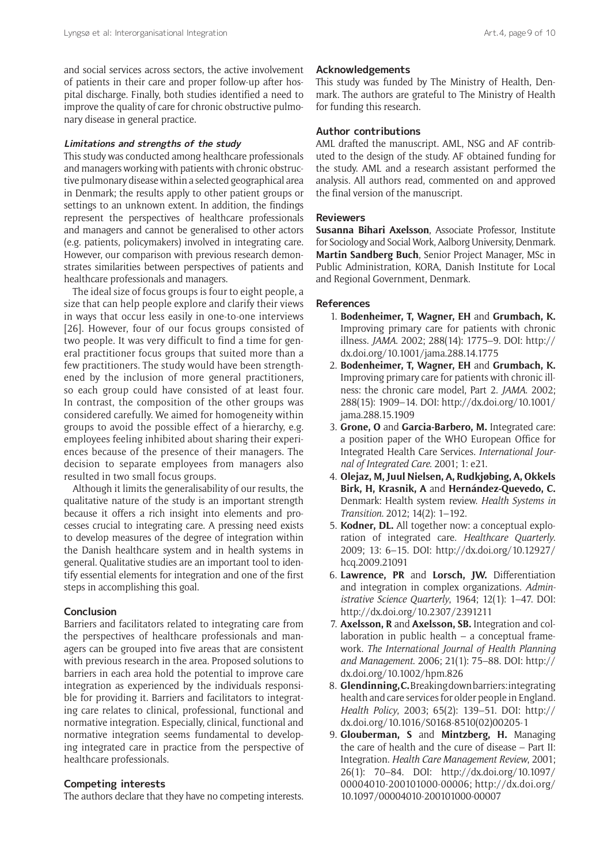and social services across sectors, the active involvement of patients in their care and proper follow-up after hospital discharge. Finally, both studies identified a need to improve the quality of care for chronic obstructive pulmonary disease in general practice.

#### **Limitations and strengths of the study**

This study was conducted among healthcare professionals and managers working with patients with chronic obstructive pulmonary disease within a selected geographical area in Denmark; the results apply to other patient groups or settings to an unknown extent. In addition, the findings represent the perspectives of healthcare professionals and managers and cannot be generalised to other actors (e.g. patients, policymakers) involved in integrating care. However, our comparison with previous research demonstrates similarities between perspectives of patients and healthcare professionals and managers.

The ideal size of focus groups is four to eight people, a size that can help people explore and clarify their views in ways that occur less easily in one-to-one interviews [26]. However, four of our focus groups consisted of two people. It was very difficult to find a time for general practitioner focus groups that suited more than a few practitioners. The study would have been strengthened by the inclusion of more general practitioners, so each group could have consisted of at least four. In contrast, the composition of the other groups was considered carefully. We aimed for homogeneity within groups to avoid the possible effect of a hierarchy, e.g. employees feeling inhibited about sharing their experiences because of the presence of their managers. The decision to separate employees from managers also resulted in two small focus groups.

Although it limits the generalisability of our results, the qualitative nature of the study is an important strength because it offers a rich insight into elements and processes crucial to integrating care. A pressing need exists to develop measures of the degree of integration within the Danish healthcare system and in health systems in general. Qualitative studies are an important tool to identify essential elements for integration and one of the first steps in accomplishing this goal.

## **Conclusion**

Barriers and facilitators related to integrating care from the perspectives of healthcare professionals and managers can be grouped into five areas that are consistent with previous research in the area. Proposed solutions to barriers in each area hold the potential to improve care integration as experienced by the individuals responsible for providing it. Barriers and facilitators to integrating care relates to clinical, professional, functional and normative integration. Especially, clinical, functional and normative integration seems fundamental to developing integrated care in practice from the perspective of healthcare professionals.

## **Competing interests**

The authors declare that they have no competing interests.

#### **Acknowledgements**

This study was funded by The Ministry of Health, Denmark. The authors are grateful to The Ministry of Health for funding this research.

## **Author contributions**

AML drafted the manuscript. AML, NSG and AF contributed to the design of the study. AF obtained funding for the study. AML and a research assistant performed the analysis. All authors read, commented on and approved the final version of the manuscript.

## **Reviewers**

**Susanna Bihari Axelsson**, Associate Professor, Institute for Sociology and Social Work, Aalborg University, Denmark. **Martin Sandberg Buch**, Senior Project Manager, MSc in Public Administration, KORA, Danish Institute for Local and Regional Government, Denmark.

## **References**

- 1. **Bodenheimer, T, Wagner, EH** and **Grumbach, K.** Improving primary care for patients with chronic illness. *JAMA*. 2002; 288(14): 1775–9. DOI: [http://](http://dx.doi.org/10.1001/jama.288.14.1775) [dx.doi.org/10.1001/jama.288.14.1775](http://dx.doi.org/10.1001/jama.288.14.1775)
- 2. **Bodenheimer, T, Wagner, EH** and **Grumbach, K.** Improving primary care for patients with chronic illness: the chronic care model, Part 2. *JAMA*. 2002; 288(15): 1909–14. DOI: [http://dx.doi.org/10.1001/](http://dx.doi.org/10.1001/jama.288.15.1909) [jama.288.15.1909](http://dx.doi.org/10.1001/jama.288.15.1909)
- 3. **Grone, O** and **Garcia-Barbero, M.** Integrated care: a position paper of the WHO European Office for Integrated Health Care Services. *International Journal of Integrated Care*. 2001; 1: e21.
- 4. **Olejaz, M, Juul Nielsen, A, Rudkjøbing, A, Okkels Birk, H, Krasnik, A** and **Hernández-Quevedo, C.** Denmark: Health system review. *Health Systems in Transition*. 2012; 14(2): 1–192.
- 5. **Kodner, DL.** All together now: a conceptual exploration of integrated care. *Healthcare Quarterly*. 2009; 13: 6–15. DOI: [http://dx.doi.org/10.12927/](http://dx.doi.org/10.12927/hcq.2009.21091) [hcq.2009.21091](http://dx.doi.org/10.12927/hcq.2009.21091)
- 6. **Lawrence, PR** and **Lorsch, JW.** Differentiation and integration in complex organizations. *Administrative Science Quarterly*, 1964; 12(1): 1–47. DOI: <http://dx.doi.org/10.2307/2391211>
- 7. **Axelsson, R** and **Axelsson, SB.** Integration and collaboration in public health – a conceptual framework. *The International Journal of Health Planning and Management*. 2006; 21(1): 75–88. DOI: [http://](http://dx.doi.org/10.1002/hpm.826) [dx.doi.org/10.1002/hpm.826](http://dx.doi.org/10.1002/hpm.826)
- 8. **Glendinning, C.** Breaking down barriers: integrating health and care services for older people in England. *Health Policy*, 2003; 65(2): 139–51. DOI: [http://](http://dx.doi.org/10.1016/S0168-8510(02)00205-1) [dx.doi.org/10.1016/S0168-8510\(02\)00205-1](http://dx.doi.org/10.1016/S0168-8510(02)00205-1)
- 9. **Glouberman, S** and **Mintzberg, H.** Managing the care of health and the cure of disease – Part II: Integration. *Health Care Management Review*, 2001; 26(1): 70–84. DOI: [http://dx.doi.org/10.1097/](http://dx.doi.org/10.1097/ 00004010-200101000-00006) [00004010-200101000-00006;](http://dx.doi.org/10.1097/ 00004010-200101000-00006) [http://dx.doi.org/](http://dx.doi.org/ 10.1097/00004010-200101000-00007) [10.1097/00004010-200101000-00007](http://dx.doi.org/ 10.1097/00004010-200101000-00007)